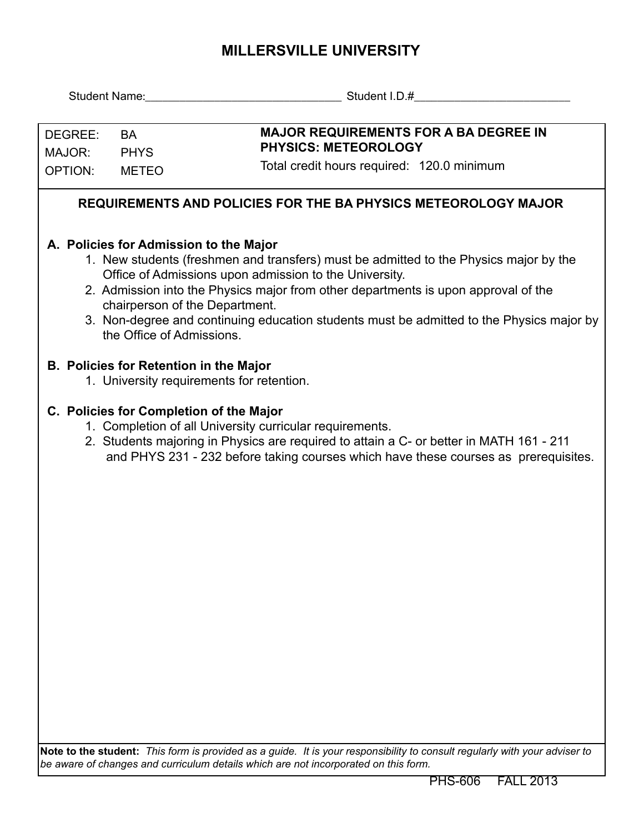## **MILLERSVILLE UNIVERSITY**

| DEGREE:                                                                                                                                                                                                           | <b>BA</b>                 | <b>MAJOR REQUIREMENTS FOR A BA DEGREE IN</b><br><b>PHYSICS: METEOROLOGY</b><br>Total credit hours required: 120.0 minimum                                                                                                                                                                                                                                                                                     |  |  |  |  |  |  |  |
|-------------------------------------------------------------------------------------------------------------------------------------------------------------------------------------------------------------------|---------------------------|---------------------------------------------------------------------------------------------------------------------------------------------------------------------------------------------------------------------------------------------------------------------------------------------------------------------------------------------------------------------------------------------------------------|--|--|--|--|--|--|--|
| MAJOR:                                                                                                                                                                                                            | <b>PHYS</b>               |                                                                                                                                                                                                                                                                                                                                                                                                               |  |  |  |  |  |  |  |
| OPTION:                                                                                                                                                                                                           | <b>METEO</b>              |                                                                                                                                                                                                                                                                                                                                                                                                               |  |  |  |  |  |  |  |
|                                                                                                                                                                                                                   |                           | REQUIREMENTS AND POLICIES FOR THE BA PHYSICS METEOROLOGY MAJOR                                                                                                                                                                                                                                                                                                                                                |  |  |  |  |  |  |  |
|                                                                                                                                                                                                                   | the Office of Admissions. | A. Policies for Admission to the Major<br>1. New students (freshmen and transfers) must be admitted to the Physics major by the<br>Office of Admissions upon admission to the University.<br>2. Admission into the Physics major from other departments is upon approval of the<br>chairperson of the Department.<br>3. Non-degree and continuing education students must be admitted to the Physics major by |  |  |  |  |  |  |  |
|                                                                                                                                                                                                                   |                           | <b>B. Policies for Retention in the Major</b><br>1. University requirements for retention.                                                                                                                                                                                                                                                                                                                    |  |  |  |  |  |  |  |
|                                                                                                                                                                                                                   |                           | C. Policies for Completion of the Major<br>1. Completion of all University curricular requirements.<br>2. Students majoring in Physics are required to attain a C- or better in MATH 161 - 211<br>and PHYS 231 - 232 before taking courses which have these courses as prerequisites.                                                                                                                         |  |  |  |  |  |  |  |
|                                                                                                                                                                                                                   |                           |                                                                                                                                                                                                                                                                                                                                                                                                               |  |  |  |  |  |  |  |
| Note to the student: This form is provided as a guide. It is your responsibility to consult regularly with your adviser to<br>be aware of changes and curriculum details which are not incorporated on this form. |                           |                                                                                                                                                                                                                                                                                                                                                                                                               |  |  |  |  |  |  |  |